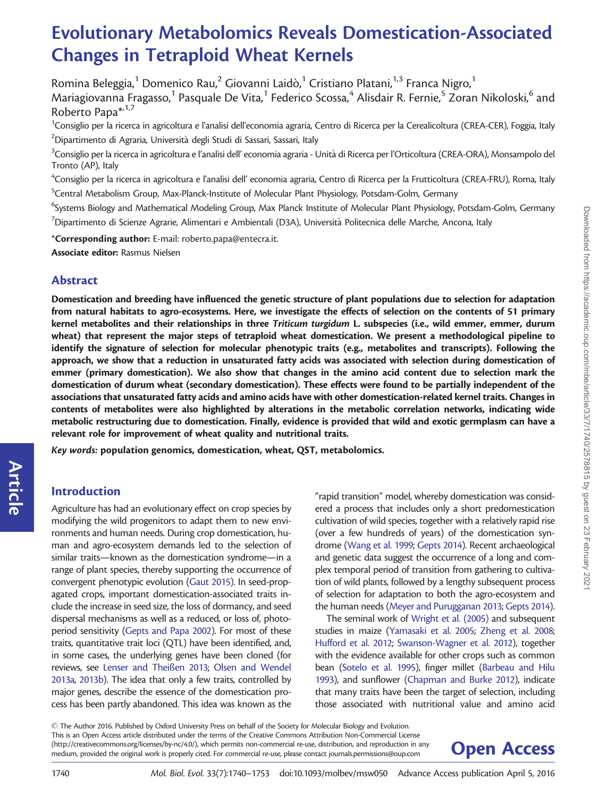# Evolutionary Metabolomics Reveals Domestication-Associated Changes in Tetraploid Wheat Kernels

Romina Beleggia, $^1$  Domenico Rau, $^2$  Giovanni Laidò, $^1$  Cristiano Platani, $^{1,3}$  Franca Nigro, $^1$ Mariagiovanna Fragasso,<sup>1</sup> Pasquale De Vita,<sup>1</sup> Federico Scossa,<sup>4</sup> Alisdair R. Fernie,<sup>5</sup> Zoran Nikoloski,<sup>6</sup> and Roberto Papa<sup>\*, 1,7</sup>

<sup>1</sup>Consiglio per la ricerca in agricoltura e l'analisi dell'economia agraria, Centro di Ricerca per la Cerealicoltura (CREA-CER), Foggia, Italy  $^2$ Dipartimento di Agraria, Università degli Studi di Sassari, Sassari, Italy

 $^3$ Consiglio per la ricerca in agricoltura e l'analisi dell' economia agraria - Unità di Ricerca per l'Orticoltura (CREA-ORA), Monsampolo del Tronto (AP), Italy

<sup>4</sup>Consiglio per la ricerca in agricoltura e l'analisi dell' economia agraria, Centro di Ricerca per la Frutticoltura (CREA-FRU), Roma, Italy 5 Central Metabolism Group, Max-Planck-Institute of Molecular Plant Physiology, Potsdam-Golm, Germany

<sup>6</sup>Systems Biology and Mathematical Modeling Group, Max Planck Institute of Molecular Plant Physiology, Potsdam-Golm, Germany  $^7$ Dipartimento di Scienze Agrarie, Alimentari e Ambientali (D3A), Università Politecnica delle Marche, Ancona, Italy

\*Corresponding author: E-mail: roberto.papa@entecra.it.

Associate editor: Rasmus Nielsen

### Abstract

Domestication and breeding have influenced the genetic structure of plant populations due to selection for adaptation from natural habitats to agro-ecosystems. Here, we investigate the effects of selection on the contents of 51 primary kernel metabolites and their relationships in three Triticum turgidum L. subspecies (i.e., wild emmer, emmer, durum wheat) that represent the major steps of tetraploid wheat domestication. We present a methodological pipeline to identify the signature of selection for molecular phenotypic traits (e.g., metabolites and transcripts). Following the approach, we show that a reduction in unsaturated fatty acids was associated with selection during domestication of emmer (primary domestication). We also show that changes in the amino acid content due to selection mark the domestication of durum wheat (secondary domestication). These effects were found to be partially independent of the associations that unsaturated fatty acids and amino acids have with other domestication-related kernel traits. Changes in contents of metabolites were also highlighted by alterations in the metabolic correlation networks, indicating wide metabolic restructuring due to domestication. Finally, evidence is provided that wild and exotic germplasm can have a relevant role for improvement of wheat quality and nutritional traits.

Key words: population genomics, domestication, wheat, QST, metabolomics.

# Introduction

Article

Agriculture has had an evolutionary effect on crop species by modifying the wild progenitors to adapt them to new environments and human needs. During crop domestication, human and agro-ecosystem demands led to the selection of similar traits—known as the domestication syndrome—in a range of plant species, thereby supporting the occurrence of convergent phenotypic evolution ([Gaut 2015](#page-13-0)). In seed-propagated crops, important domestication-associated traits include the increase in seed size, the loss of dormancy, and seed dispersal mechanisms as well as a reduced, or loss of, photoperiod sensitivity [\(Gepts and Papa 2002](#page-13-0)). For most of these traits, quantitative trait loci (QTL) have been identified, and, in some cases, the underlying genes have been cloned (for reviews, see [Lenser and Thei](#page-13-0)ß[en 2013;](#page-13-0) [Olsen and Wendel](#page-13-0) [2013a](#page-13-0), [2013b](#page-13-0)). The idea that only a few traits, controlled by major genes, describe the essence of the domestication process has been partly abandoned. This idea was known as the

"rapid transition" model, whereby domestication was considered a process that includes only a short predomestication cultivation of wild species, together with a relatively rapid rise (over a few hundreds of years) of the domestication syndrome ([Wang et al. 1999](#page-13-0); [Gepts 2014](#page-13-0)). Recent archaeological and genetic data suggest the occurrence of a long and complex temporal period of transition from gathering to cultivation of wild plants, followed by a lengthy subsequent process of selection for adaptation to both the agro-ecosystem and the human needs [\(Meyer and Purugganan 2013](#page-13-0); [Gepts 2014\)](#page-13-0).

The seminal work of [Wright et al. \(2005\)](#page-13-0) and subsequent studies in maize [\(Yamasaki et al. 2005](#page-13-0); [Zheng et al. 2008;](#page-13-0) [Hufford et al. 2012;](#page-13-0) [Swanson-Wagner et al. 2012\)](#page-13-0), together with the evidence available for other crops such as common bean [\(Sotelo et al. 1995\)](#page-13-0), finger millet [\(Barbeau and Hilu](#page-12-0) [1993\)](#page-12-0), and sunflower ([Chapman and Burke 2012](#page-12-0)), indicate that many traits have been the target of selection, including those associated with nutritional value and amino acid

 $\odot$  The Author 2016. Published by Oxford University Press on behalf of the Society for Molecular Biology and Evolution. This is an Open Access article distributed under the terms of the Creative Commons Attribution Non-Commercial License (http://creativecommons.org/licenses/by-nc/4.0/), which permits non-commercial re-use, distribution, and reproduction in any **Open Access** 

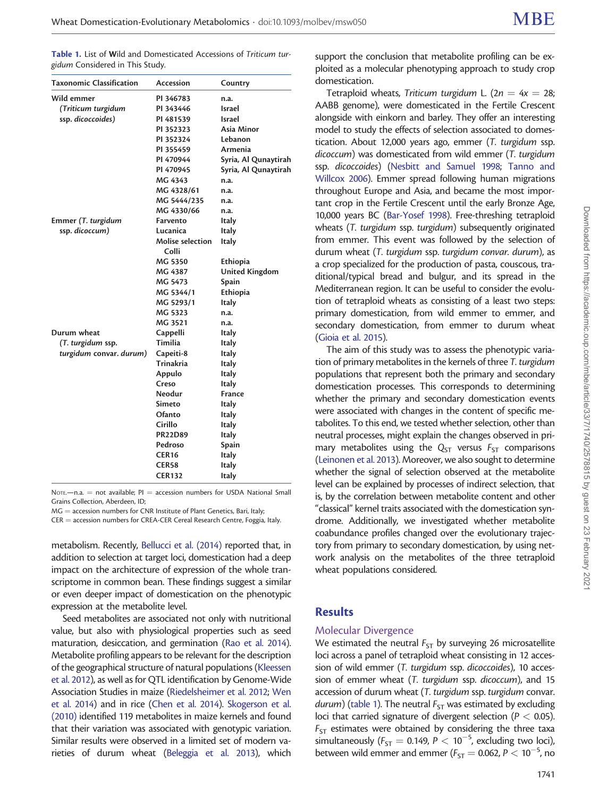<span id="page-1-0"></span>Table 1. List of Wild and Domesticated Accessions of Triticum turgidum Considered in This Study.

| <b>Taxonomic Classification</b> | Accession                        | Country               |
|---------------------------------|----------------------------------|-----------------------|
| Wild emmer                      | PI 346783                        | n.a.                  |
| (Triticum turgidum              | PI 343446                        | Israel                |
| ssp. dicoccoides)               | PI 481539                        | Israel                |
|                                 | PI 352323                        | Asia Minor            |
|                                 | PI 352324                        | Lebanon               |
|                                 | PI 355459                        | Armenia               |
|                                 | PI 470944                        | Syria, Al Qunaytirah  |
|                                 | PI 470945                        | Syria, Al Qunaytirah  |
|                                 | MG 4343                          | n.a.                  |
|                                 | MG 4328/61                       | n.a.                  |
|                                 | MG 5444/235                      | n.a.                  |
|                                 | MG 4330/66                       | n.a.                  |
| Emmer (T. turgidum              | Farvento                         | Italy                 |
| ssp. dicoccum)                  | Lucanica                         | Italy                 |
|                                 | <b>Molise selection</b><br>Colli | <b>Italy</b>          |
|                                 | MG 5350                          | Ethiopia              |
|                                 | MG 4387                          | <b>United Kingdom</b> |
|                                 | MG 5473                          | Spain                 |
|                                 | MG 5344/1                        | Ethiopia              |
|                                 | MG 5293/1                        | Italy                 |
|                                 | MG 5323                          | n.a.                  |
|                                 | MG 3521                          | n.a.                  |
| Durum wheat                     | Cappelli                         | <b>Italy</b>          |
| (T. turgidum ssp.               | Timilia                          | <b>Italy</b>          |
| turgidum convar. durum)         | Capeiti-8                        | <b>Italy</b>          |
|                                 | Trinakria                        | <b>Italy</b>          |
|                                 | Appulo                           | <b>Italy</b>          |
|                                 | Creso                            | <b>Italy</b>          |
|                                 | Neodur                           | <b>France</b>         |
|                                 | Simeto                           | <b>Italy</b>          |
|                                 | Ofanto                           | <b>Italy</b>          |
|                                 | Cirillo                          | Italy                 |
|                                 | <b>PR22D89</b>                   | Italy                 |
|                                 | Pedroso                          | Spain                 |
|                                 | <b>CER16</b>                     | <b>Italy</b>          |
|                                 | <b>CER58</b>                     | Italy                 |
|                                 | <b>CER132</b>                    | Italy                 |

NOTE $-$ n.a.  $=$  not available: PI  $=$  accession numbers for USDA National Small Grains Collection, Aberdeen, ID;

 $MG =$  accession numbers for CNR Institute of Plant Genetics, Bari, Italy;

CER = accession numbers for CREA-CER Cereal Research Centre, Foggia, Italy.

metabolism. Recently, [Bellucci et al. \(2014\)](#page-12-0) reported that, in addition to selection at target loci, domestication had a deep impact on the architecture of expression of the whole transcriptome in common bean. These findings suggest a similar or even deeper impact of domestication on the phenotypic expression at the metabolite level.

Seed metabolites are associated not only with nutritional value, but also with physiological properties such as seed maturation, desiccation, and germination [\(Rao et al. 2014\)](#page-13-0). Metabolite profiling appears to be relevant for the description of the geographical structure of natural populations [\(Kleessen](#page-13-0) [et al. 2012\)](#page-13-0), as well as for QTL identification by Genome-Wide Association Studies in maize ([Riedelsheimer et al. 2012;](#page-13-0) [Wen](#page-13-0) [et al. 2014\)](#page-13-0) and in rice [\(Chen et al. 2014\)](#page-12-0). [Skogerson et al.](#page-13-0) [\(2010\)](#page-13-0) identified 119 metabolites in maize kernels and found that their variation was associated with genotypic variation. Similar results were observed in a limited set of modern varieties of durum wheat [\(Beleggia et al. 2013](#page-12-0)), which

support the conclusion that metabolite profiling can be exploited as a molecular phenotyping approach to study crop domestication.

Tetraploid wheats, Triticum turgidum L. ( $2n = 4x = 28$ ; AABB genome), were domesticated in the Fertile Crescent alongside with einkorn and barley. They offer an interesting model to study the effects of selection associated to domestication. About 12,000 years ago, emmer (T. turgidum ssp. dicoccum) was domesticated from wild emmer (T. turgidum ssp. dicoccoides) [\(Nesbitt and Samuel 1998;](#page-13-0) [Tanno and](#page-13-0) [Willcox 2006\)](#page-13-0). Emmer spread following human migrations throughout Europe and Asia, and became the most important crop in the Fertile Crescent until the early Bronze Age, 10,000 years BC ([Bar-Yosef 1998](#page-12-0)). Free-threshing tetraploid wheats (T. turgidum ssp. turgidum) subsequently originated from emmer. This event was followed by the selection of durum wheat (T. turgidum ssp. turgidum convar. durum), as a crop specialized for the production of pasta, couscous, traditional/typical bread and bulgur, and its spread in the Mediterranean region. It can be useful to consider the evolution of tetraploid wheats as consisting of a least two steps: primary domestication, from wild emmer to emmer, and secondary domestication, from emmer to durum wheat [\(Gioia et al. 2015](#page-13-0)).

The aim of this study was to assess the phenotypic variation of primary metabolites in the kernels of three T. turgidum populations that represent both the primary and secondary domestication processes. This corresponds to determining whether the primary and secondary domestication events were associated with changes in the content of specific metabolites. To this end, we tested whether selection, other than neutral processes, might explain the changes observed in primary metabolites using the  $Q_{ST}$  versus  $F_{ST}$  comparisons [\(Leinonen et al. 2013\)](#page-13-0). Moreover, we also sought to determine whether the signal of selection observed at the metabolite level can be explained by processes of indirect selection, that is, by the correlation between metabolite content and other "classical" kernel traits associated with the domestication syndrome. Additionally, we investigated whether metabolite coabundance profiles changed over the evolutionary trajectory from primary to secondary domestication, by using network analysis on the metabolites of the three tetraploid wheat populations considered.

#### **Results**

#### Molecular Divergence

We estimated the neutral  $F_{ST}$  by surveying 26 microsatellite loci across a panel of tetraploid wheat consisting in 12 accession of wild emmer (T. turgidum ssp. dicoccoides), 10 accession of emmer wheat (T. turgidum ssp. dicoccum), and 15 accession of durum wheat (T. turgidum ssp. turgidum convar. durum) (table 1). The neutral  $F_{ST}$  was estimated by excluding loci that carried signature of divergent selection ( $P < 0.05$ ).  $F_{ST}$  estimates were obtained by considering the three taxa simultaneously ( $F_{ST} = 0.149$ ,  $P < 10^{-5}$ , excluding two loci), between wild emmer and emmer ( $F_{ST} = 0.062$ ,  $P < 10^{-5}$ , no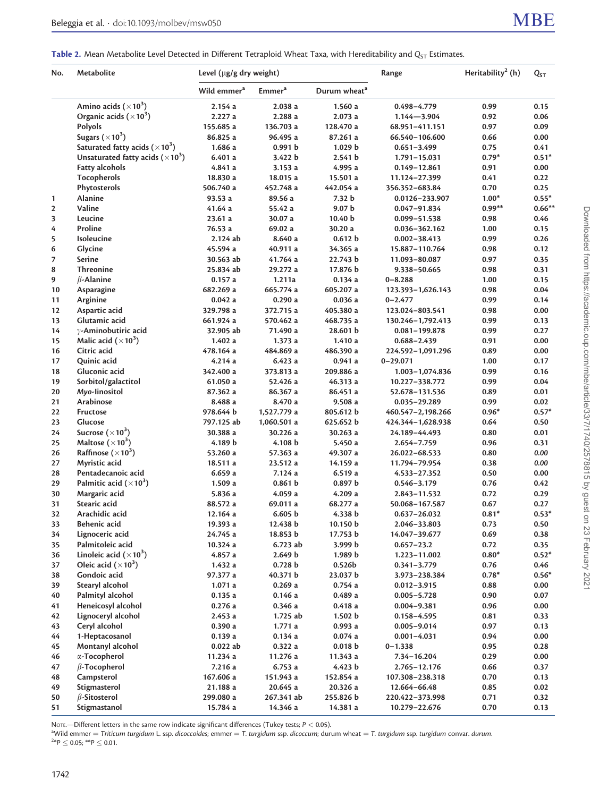<span id="page-2-0"></span>Table 2. Mean Metabolite Level Detected in Different Tetraploid Wheat Taxa, with Hereditability and  $Q_{ST}$  Estimates.

| No.          | Metabolite                                         | Level (µg/g dry weight) |                           |                          | Range             | Heritability <sup>2</sup> (h) | $Q_{ST}$ |
|--------------|----------------------------------------------------|-------------------------|---------------------------|--------------------------|-------------------|-------------------------------|----------|
|              |                                                    | Wild emmer <sup>a</sup> | <b>Emmer</b> <sup>a</sup> | Durum wheat <sup>a</sup> |                   |                               |          |
|              | Amino acids $(\times 10^3)$                        | 2.154a                  | 2.038a                    | 1.560a                   | $0.498 - 4.779$   | 0.99                          | 0.15     |
|              | Organic acids $(\times 10^3)$                      | 2.227a                  | 2.288a                    | 2.073a                   | $1.144 - 3.904$   | 0.92                          | 0.06     |
|              | Polyols                                            | 155.685 a               | 136.703 a                 | 128.470 a                | 68.951-411.151    | 0.97                          | 0.09     |
|              | Sugars $(\times 10^3)$                             | 86.825 a                | 96.495 a                  | 87.261 a                 | 66.540-106.600    | 0.66                          | 0.00     |
|              | Saturated fatty acids ( $\times$ 10 <sup>3</sup> ) | 1.686a                  | 0.991 b                   | 1.029 b                  | $0.651 - 3.499$   | 0.75                          | 0.41     |
|              | Unsaturated fatty acids $(\times 10^3)$            | 6.401a                  | 3.422 b                   | 2.541 b                  | 1.791-15.031      | $0.79*$                       | $0.51*$  |
|              | <b>Fatty alcohols</b>                              | 4.841 a                 | 3.153a                    | 4.995 a                  | $0.149 - 12.861$  | 0.91                          | 0.00     |
|              | Tocopherols                                        | 18.830 a                | 18.015 a                  | 15.501 a                 | 11.124-27.399     | 0.41                          | 0.22     |
|              | Phytosterols                                       | 506.740 a               | 452.748 a                 | 442.054 a                | 356.352-683.84    | 0.70                          | 0.25     |
| 1            | <b>Alanine</b>                                     | 93.53a                  | 89.56 a                   | 7.32 b                   | 0.0126-233.907    | $1.00*$                       | $0.55*$  |
| $\mathbf{2}$ | Valine                                             | 41.64a                  | 55.42 a                   | 9.07 <sub>b</sub>        | $0.047 - 91.834$  | $0.99**$                      | $0.66**$ |
| 3            | Leucine                                            | 23.61 a                 | 30.07 a                   | 10.40 b                  | $0.099 - 51.538$  | 0.98                          | 0.46     |
| 4            | Proline                                            | 76.53 a                 | 69.02 a                   | 30.20 a                  | 0.036-362.162     | 1.00                          | 0.15     |
| 5            | Isoleucine                                         | 2.124 ab                | 8.640 a                   | 0.612 b                  | $0.002 - 38.413$  | 0.99                          | 0.26     |
| 6            | Glycine                                            | 45.594 a                | 40.911 a                  | 34.365 a                 | 15.887-110.764    | 0.98                          | 0.12     |
| 7            | <b>Serine</b>                                      | 30.563 ab               | 41.764 a                  | 22.743 b                 | 11.093-80.087     | 0.97                          | 0.35     |
| 8            | <b>Threonine</b>                                   | 25.834 ab               | 29.272 a                  | 17.876 b                 | 9.338-50.665      | 0.98                          | 0.31     |
| 9            | $\beta$ -Alanine                                   | 0.157a                  | 1.211a                    | 0.134a                   | $0 - 8.288$       | 1.00                          | 0.15     |
| 10           | Asparagine                                         | 682.269 a               | 665.774 a                 | 605.207 a                | 123.393-1,626.143 | 0.98                          | 0.04     |
| 11           | Arginine                                           | 0.042a                  | 0.290a                    | 0.036a                   | $0 - 2.477$       | 0.99                          | 0.14     |
| 12           | Aspartic acid                                      | 329.798 a               | 372.715 a                 | 405.380 a                | 123.024-803.541   | 0.98                          | 0.00     |
| 13           | Glutamic acid                                      | 661.924 a               | 570.462 a                 | 468.735 a                | 130.246-1,792.413 | 0.99                          | 0.13     |
| 14           | y-Aminobutiric acid                                | 32.905 ab               | 71.490 a                  | 28.601 b                 | $0.081 - 199.878$ | 0.99                          | 0.27     |
| 15           | Malic acid $(\times 10^3)$                         | 1.402a                  | 1.373a                    | 1.410a                   | $0.688 - 2.439$   | 0.91                          | 0.00     |
| 16           | Citric acid                                        | 478.164 a               | 484.869 a                 | 486.390 a                | 224.592-1,091.296 | 0.89                          | 0.00     |
| 17           | Quinic acid                                        | 4.214a                  | 6.423a                    | 0.941a                   | $0 - 29.071$      | 1.00                          | 0.17     |
| 18           | Gluconic acid                                      | 342.400 a               | 373.813 a                 | 209.886 a                | 1.003-1,074.836   | 0.99                          | 0.16     |
| 19           | Sorbitol/galactitol                                | 61.050 a                | 52.426 a                  | 46.313 a                 | 10.227-338.772    | 0.99                          | 0.04     |
| 20           | Myo-linositol                                      | 87.362 a                | 86.367 a                  | 86.451 a                 | 52.678-131.536    | 0.89                          | 0.01     |
| 21           | Arabinose                                          | 8.488 a                 | 8.470 a                   | 9.508a                   | 0.035-29.289      | 0.99                          | 0.02     |
| 22           | Fructose                                           | 978.644 b               | 1,527.779 a               | 805.612 b                | 460.547-2,198.266 | $0.96*$                       | $0.57*$  |
| 23           | Glucose                                            | 797.125 ab              | 1,060.501 a               | 625.652 b                | 424.344-1,628.938 | 0.64                          | 0.50     |
| 24           | Sucrose $(\times 10^3)$                            | 30.388 a                | 30.226 a                  | 30.263 a                 | 24.189-44.493     | 0.80                          | 0.01     |
| 25           | Maltose $(\times 10^3)$                            | 4.189 b                 | 4.108 b                   | 5.450 a                  | 2.654-7.759       | 0.96                          | 0.31     |
| 26           | Raffinose $(\times 10^3)$                          | 53.260 a                | 57.363 a                  | 49.307 a                 | 26.022-68.533     | 0.80                          | 0.00     |
| 27           | Myristic acid                                      | 18.511 a                | 23.512 a                  | 14.159 a                 | 11.794-79.954     | 0.38                          | 0.00     |
| 28           | Pentadecanoic acid                                 | 6.659a                  | 7.124a                    | 6.519a                   | 4.533-27.352      | 0.50                          | 0.00     |
| 29           | Palmitic acid $(\times 10^3)$                      | 1.509a                  | 0.861 b                   | 0.897 b                  | $0.546 - 3.179$   | 0.76                          | 0.42     |
| 30           | Margaric acid                                      | 5.836 a                 | 4.059a                    | 4.209 a                  | 2.843-11.532      | 0.72                          | 0.29     |
| 31           | Stearic acid                                       | 88.572 a                | 69.011 a                  | 68.277 a                 | 50.068-167.587    | 0.67                          | 0.27     |
| 32           | Arachidic acid                                     | 12.164 a                | 6.605 b                   | 4.338 b                  | $0.637 - 26.032$  | $0.81*$                       | $0.53*$  |
| 33           | Behenic acid                                       | 19.393 a                | 12.438 b                  | 10.150 b                 | 2.046–33.803      | 0.73                          | 0.50     |
| 34           | Lignoceric acid                                    | 24.745 a                | 18.853 b                  | 17.753 b                 | 14.047-39.677     | 0.69                          | 0.38     |
| 35           | Palmitoleic acid                                   | 10.324 a                | 6.723 ab                  | 3.999 b                  | $0.657 - 23.2$    | 0.72                          | 0.35     |
| 36           | Linoleic acid $(\times 10^3)$                      | 4.857 a                 | 2.649 <sub>b</sub>        | 1.989 b                  | $1.223 - 11.002$  | $0.80*$                       | $0.52*$  |
| 37           | Oleic acid $(\times 10^3)$                         | 1.432a                  | 0.728 b                   | 0.526b                   | $0.341 - 3.779$   | 0.76                          | 0.46     |
| 38           | Gondoic acid                                       | 97.377 a                | 40.371 b                  | 23.037 b                 | 3.973-238.384     | $0.78*$                       | $0.56*$  |
| 39           | Stearyl alcohol                                    | 1.071a                  | 0.269a                    | 0.754a                   | $0.012 - 3.915$   | 0.88                          | 0.00     |
| 40           | Palmityl alcohol                                   | 0.135a                  | 0.146a                    | 0.489a                   | $0.005 - 5.728$   | 0.90                          | 0.07     |
| 41           | Heneicosyl alcohol                                 | 0.276a                  | 0.346a                    | 0.418a                   | $0.004 - 9.381$   | 0.96                          | 0.00     |
| 42           | Lignoceryl alcohol                                 | 2.453a                  | 1.725 ab                  | 1.502 b                  | $0.158 - 4.595$   | 0.81                          | 0.33     |
| 43           | Ceryl alcohol                                      | 0.390a                  | 1.771a                    | 0.993a                   | $0.005 - 9.014$   | 0.97                          | 0.13     |
| 44           | 1-Heptacosanol                                     | 0.139a                  | 0.134a                    | 0.074a                   | $0.001 - 4.031$   | 0.94                          | 0.00     |
| 45           | Montanyl alcohol                                   | 0.022 ab                | 0.322a                    | 0.018 b                  | $0 - 1.338$       | 0.95                          | 0.28     |
| 46           | x-Tocopherol                                       | 11.234 a                | 11.276 a                  | 11.343 a                 | 7.34-16.204       | 0.29                          | 0.00     |
| 47           | $\beta$ -Tocopherol                                | 7.216 a                 | 6.753a                    | 4.423 b                  | 2.765-12.176      | 0.66                          | 0.37     |
| 48           | Campsterol                                         | 167.606 a               | 151.943 a                 | 152.854 a                | 107.308-238.318   | $0.70\,$                      | 0.13     |
| 49           | Stigmasterol                                       | 21.188 a                | 20.645 a                  | 20.326 a                 | 12.664-66.48      | 0.85                          | 0.02     |
| 50           | $\beta$ -Sitosterol                                | 299.080 a               | 267.341 ab                | 255.826 b                | 220.422-373.998   | 0.71                          | 0.32     |
| 51           | Stigmastanol                                       | 15.784 a                | 14.346 a                  | 14.381 a                 | 10.279-22.676     | 0.70                          | 0.13     |

NOTE.—Different letters in the same row indicate significant differences (Tukey tests;  $P < 0.05$ ).

 $\mathrm{``Wild\ emmer}=$  Triticum turgidum L. ssp. dicoccoides; emmer  $=$  T. turgidum ssp. dicoccum; durum wheat  $=$  T. turgidum ssp. turgidum convar. durum.<br> $^{2*}$ P  $\leq$  0.05; \*\*P  $\leq$  0.01.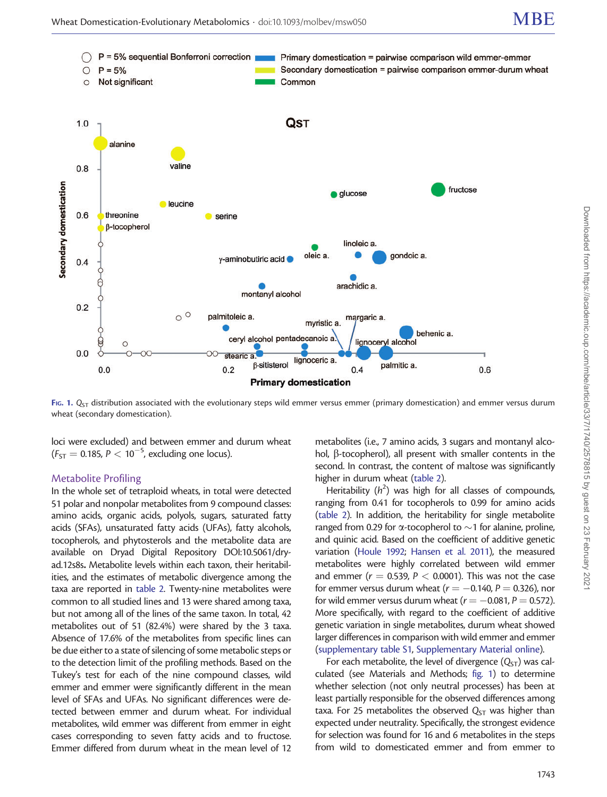<span id="page-3-0"></span>

FIG. 1.  $Q_{ST}$  distribution associated with the evolutionary steps wild emmer versus emmer (primary domestication) and emmer versus durum wheat (secondary domestication).

loci were excluded) and between emmer and durum wheat  $(F_{ST} = 0.185, P < 10^{-5}$ , excluding one locus).

#### Metabolite Profiling

In the whole set of tetraploid wheats, in total were detected 51 polar and nonpolar metabolites from 9 compound classes: amino acids, organic acids, polyols, sugars, saturated fatty acids (SFAs), unsaturated fatty acids (UFAs), fatty alcohols, tocopherols, and phytosterols and the metabolite data are available on Dryad Digital Repository DOI:10.5061/dryad.12s8s. Metabolite levels within each taxon, their heritabilities, and the estimates of metabolic divergence among the taxa are reported in [table 2.](#page-2-0) Twenty-nine metabolites were common to all studied lines and 13 were shared among taxa, but not among all of the lines of the same taxon. In total, 42 metabolites out of 51 (82.4%) were shared by the 3 taxa. Absence of 17.6% of the metabolites from specific lines can be due either to a state of silencing of some metabolic steps or to the detection limit of the profiling methods. Based on the Tukey's test for each of the nine compound classes, wild emmer and emmer were significantly different in the mean level of SFAs and UFAs. No significant differences were detected between emmer and durum wheat. For individual metabolites, wild emmer was different from emmer in eight cases corresponding to seven fatty acids and to fructose. Emmer differed from durum wheat in the mean level of 12

metabolites (i.e., 7 amino acids, 3 sugars and montanyl alcohol,  $\beta$ -tocopherol), all present with smaller contents in the second. In contrast, the content of maltose was significantly higher in durum wheat [\(table 2\)](#page-2-0).

Heritability  $(h^2)$  was high for all classes of compounds, ranging from 0.41 for tocopherols to 0.99 for amino acids [\(table 2](#page-2-0)). In addition, the heritability for single metabolite ranged from 0.29 for  $\alpha$ -tocopherol to  $\sim$  1 for alanine, proline, and quinic acid. Based on the coefficient of additive genetic variation [\(Houle 1992;](#page-13-0) [Hansen et al. 2011\)](#page-13-0), the measured metabolites were highly correlated between wild emmer and emmer ( $r = 0.539$ ,  $P < 0.0001$ ). This was not the case for emmer versus durum wheat ( $r = -0.140$ ,  $P = 0.326$ ), nor for wild emmer versus durum wheat ( $r = -0.081$ ,  $P = 0.572$ ). More specifically, with regard to the coefficient of additive genetic variation in single metabolites, durum wheat showed larger differences in comparison with wild emmer and emmer [\(supplementary table S1](http://mbe.oxfordjournals.org/lookup/suppl/doi:10.1093/molbev/msw050/-/DC1), [Supplementary Material online](http://mbe.oxfordjournals.org/lookup/suppl/doi:10.1093/molbev/msw050/-/DC1)).

For each metabolite, the level of divergence  $(Q_{ST})$  was calculated (see Materials and Methods; fig. 1) to determine whether selection (not only neutral processes) has been at least partially responsible for the observed differences among taxa. For 25 metabolites the observed  $Q<sub>ST</sub>$  was higher than expected under neutrality. Specifically, the strongest evidence for selection was found for 16 and 6 metabolites in the steps from wild to domesticated emmer and from emmer to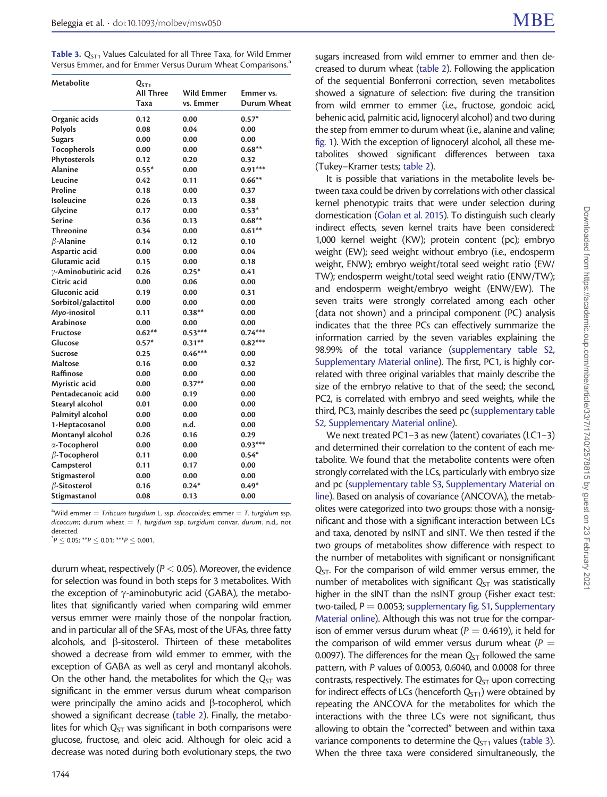Table 3.  $Q<sub>ST1</sub>$  Values Calculated for all Three Taxa, for Wild Emmer Versus Emmer, and for Emmer Versus Durum Wheat Comparisons.<sup>a</sup>

| Metabolite          | Q <sub>ST1</sub><br><b>All Three</b><br>Taxa | <b>Wild Emmer</b><br>vs. Emmer | Emmer vs.<br>Durum Wheat |
|---------------------|----------------------------------------------|--------------------------------|--------------------------|
| Organic acids       | 0.12                                         | 0.00                           | $0.57*$                  |
| Polyols             | 0.08                                         | 0.04                           | 0.00                     |
| <b>Sugars</b>       | 0.00                                         | 0.00                           | 0.00                     |
| Tocopherols         | 0.00                                         | 0.00                           | $0.68**$                 |
| Phytosterols        | 0.12                                         | 0.20                           | 0.32                     |
| <b>Alanine</b>      | $0.55*$                                      | 0.00                           | $0.91***$                |
| Leucine             | 0.42                                         | 0.11                           | $0.66**$                 |
| Proline             | 0.18                                         | 0.00                           | 0.37                     |
| Isoleucine          | 0.26                                         | 0.13                           | 0.38                     |
| Glycine             | 0.17                                         | 0.00                           | $0.53*$                  |
| Serine              | 0.36                                         | 0.13                           | $0.68***$                |
| <b>Threonine</b>    | 0.34                                         | 0.00                           | $0.61**$                 |
| $\beta$ -Alanine    | 0.14                                         | 0.12                           | 0.10                     |
| Aspartic acid       | 0.00                                         | 0.00                           | 0.04                     |
| Glutamic acid       | 0.15                                         | 0.00                           | 0.18                     |
| y-Aminobutiric acid | 0.26                                         | $0.25*$                        | 0.41                     |
| Citric acid         | 0.00                                         | 0.06                           | 0.00                     |
| Gluconic acid       | 0.19                                         | 0.00                           | 0.31                     |
| Sorbitol/galactitol | 0.00                                         | 0.00                           | 0.00                     |
| Myo-inositol        | 0.11                                         | $0.38**$                       | 0.00                     |
| Arabinose           | 0.00                                         | 0.00                           | 0.00                     |
| <b>Fructose</b>     | $0.62**$                                     | $0.53***$                      | $0.74***$                |
| Glucose             | $0.57*$                                      | $0.31**$                       | $0.82***$                |
| <b>Sucrose</b>      | 0.25                                         | $0.46***$                      | 0.00                     |
| Maltose             | 0.16                                         | 0.00                           | 0.32                     |
| Raffinose           | 0.00                                         | 0.00                           | 0.00                     |
| Myristic acid       | 0.00                                         | $0.37**$                       | 0.00                     |
| Pentadecanoic acid  | 0.00                                         | 0.19                           | 0.00                     |
| Stearyl alcohol     | 0.01                                         | 0.00                           | 0.00                     |
| Palmityl alcohol    | 0.00                                         | 0.00                           | 0.00                     |
| 1-Heptacosanol      | 0.00                                         | n.d.                           | 0.00                     |
| Montanyl alcohol    | 0.26                                         | 0.16                           | 0.29                     |
| α-Tocopherol        | 0.00                                         | 0.00                           | $0.93***$                |
| $\beta$ -Tocopherol | 0.11                                         | 0.00                           | $0.54*$                  |
| Campsterol          | 0.11                                         | 0.17                           | 0.00                     |
| Stigmasterol        | 0.00                                         | 0.00                           | 0.00                     |
| $\beta$ -Sitosterol | 0.16                                         | $0.24*$                        | $0.49*$                  |
| Stigmastanol        | 0.08                                         | 0.13                           | 0.00                     |

 $^{\text{a}}$ Wild emmer  $=$  Triticum turgidum L. ssp. dicoccoides; emmer  $=$  T. turgidum ssp. dicoccum; durum wheat  $=$  T. turgidum ssp. turgidum convar. durum. n.d., not detected.

 $\overline{P} \le 0.05;$  \*\* $P \le 0.01;$  \*\*\* $P \le 0.001.$ 

durum wheat, respectively ( $P < 0.05$ ). Moreover, the evidence for selection was found in both steps for 3 metabolites. With the exception of  $\gamma$ -aminobutyric acid (GABA), the metabolites that significantly varied when comparing wild emmer versus emmer were mainly those of the nonpolar fraction, and in particular all of the SFAs, most of the UFAs, three fatty alcohols, and  $\beta$ -sitosterol. Thirteen of these metabolites showed a decrease from wild emmer to emmer, with the exception of GABA as well as ceryl and montanyl alcohols. On the other hand, the metabolites for which the  $Q_{ST}$  was significant in the emmer versus durum wheat comparison were principally the amino acids and  $\beta$ -tocopherol, which showed a significant decrease ([table 2](#page-2-0)). Finally, the metabolites for which  $Q_{ST}$  was significant in both comparisons were glucose, fructose, and oleic acid. Although for oleic acid a decrease was noted during both evolutionary steps, the two

sugars increased from wild emmer to emmer and then decreased to durum wheat [\(table 2\)](#page-2-0). Following the application of the sequential Bonferroni correction, seven metabolites showed a signature of selection: five during the transition from wild emmer to emmer (i.e., fructose, gondoic acid, behenic acid, palmitic acid, lignoceryl alcohol) and two during the step from emmer to durum wheat (i.e., alanine and valine; [fig. 1](#page-3-0)). With the exception of lignoceryl alcohol, all these metabolites showed significant differences between taxa (Tukey–Kramer tests; [table 2](#page-2-0)).

It is possible that variations in the metabolite levels between taxa could be driven by correlations with other classical kernel phenotypic traits that were under selection during domestication [\(Golan et al. 2015](#page-13-0)). To distinguish such clearly indirect effects, seven kernel traits have been considered: 1,000 kernel weight (KW); protein content (pc); embryo weight (EW); seed weight without embryo (i.e., endosperm weight, ENW); embryo weight/total seed weight ratio (EW/ TW); endosperm weight/total seed weight ratio (ENW/TW); and endosperm weight/embryo weight (ENW/EW). The seven traits were strongly correlated among each other (data not shown) and a principal component (PC) analysis indicates that the three PCs can effectively summarize the information carried by the seven variables explaining the 98.99% of the total variance [\(supplementary table S2,](http://mbe.oxfordjournals.org/lookup/suppl/doi:10.1093/molbev/msw050/-/DC1) [Supplementary Material online\)](http://mbe.oxfordjournals.org/lookup/suppl/doi:10.1093/molbev/msw050/-/DC1). The first, PC1, is highly correlated with three original variables that mainly describe the size of the embryo relative to that of the seed; the second, PC2, is correlated with embryo and seed weights, while the third, PC3, mainly describes the seed pc [\(supplementary table](http://mbe.oxfordjournals.org/lookup/suppl/doi:10.1093/molbev/msw050/-/DC1) [S2](http://mbe.oxfordjournals.org/lookup/suppl/doi:10.1093/molbev/msw050/-/DC1), [Supplementary Material online](http://mbe.oxfordjournals.org/lookup/suppl/doi:10.1093/molbev/msw050/-/DC1)).

We next treated PC1–3 as new (latent) covariates (LC1–3) and determined their correlation to the content of each metabolite. We found that the metabolite contents were often strongly correlated with the LCs, particularly with embryo size and pc [\(supplementary table S3](http://mbe.oxfordjournals.org/lookup/suppl/doi:10.1093/molbev/msw050/-/DC1), [Supplementary Material on](http://mbe.oxfordjournals.org/lookup/suppl/doi:10.1093/molbev/msw050/-/DC1) [line\)](http://mbe.oxfordjournals.org/lookup/suppl/doi:10.1093/molbev/msw050/-/DC1). Based on analysis of covariance (ANCOVA), the metabolites were categorized into two groups: those with a nonsignificant and those with a significant interaction between LCs and taxa, denoted by nsINT and sINT. We then tested if the two groups of metabolites show difference with respect to the number of metabolites with significant or nonsignificant  $Q_{ST}$ . For the comparison of wild emmer versus emmer, the number of metabolites with significant  $Q_{ST}$  was statistically higher in the sINT than the nsINT group (Fisher exact test: two-tailed,  $P = 0.0053$ ; [supplementary fig. S1](http://mbe.oxfordjournals.org/lookup/suppl/doi:10.1093/molbev/msw050/-/DC1), [Supplementary](http://mbe.oxfordjournals.org/lookup/suppl/doi:10.1093/molbev/msw050/-/DC1) [Material online\)](http://mbe.oxfordjournals.org/lookup/suppl/doi:10.1093/molbev/msw050/-/DC1). Although this was not true for the comparison of emmer versus durum wheat ( $P = 0.4619$ ), it held for the comparison of wild emmer versus durum wheat ( $P =$ 0.0097). The differences for the mean  $Q_{ST}$  followed the same pattern, with P values of 0.0053, 0.6040, and 0.0008 for three contrasts, respectively. The estimates for  $Q_{ST}$  upon correcting for indirect effects of LCs (henceforth  $Q_{ST1}$ ) were obtained by repeating the ANCOVA for the metabolites for which the interactions with the three LCs were not significant, thus allowing to obtain the "corrected" between and within taxa variance components to determine the  $Q<sub>ST1</sub>$  values (table 3). When the three taxa were considered simultaneously, the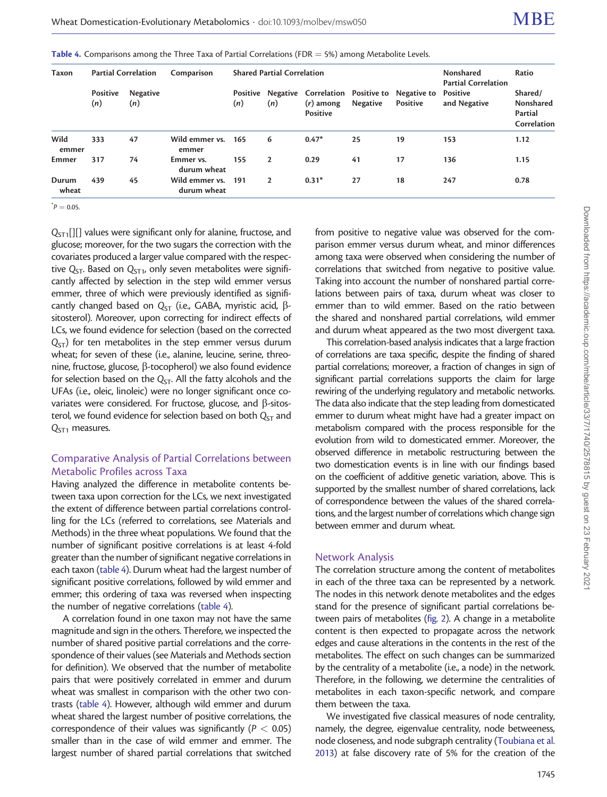| Taxon          | <b>Partial Correlation</b> |                        | Comparison                    | <b>Shared Partial Correlation</b> |                |                         |          | Nonshared<br><b>Partial Correlation</b>                  | Ratio                    |                                                |
|----------------|----------------------------|------------------------|-------------------------------|-----------------------------------|----------------|-------------------------|----------|----------------------------------------------------------|--------------------------|------------------------------------------------|
|                | Positive<br>(n)            | <b>Negative</b><br>(n) |                               | Positive<br>(n)                   | (n)            | $(r)$ among<br>Positive | Negative | Negative Correlation Positive to Negative to<br>Positive | Positive<br>and Negative | Shared/<br>Nonshared<br>Partial<br>Correlation |
| Wild<br>emmer  | 333                        | 47                     | Wild emmer vs.<br>emmer       | 165                               | 6              | $0.47*$                 | 25       | 19                                                       | 153                      | 1.12                                           |
| Emmer          | 317                        | 74                     | Emmer vs.<br>durum wheat      | 155                               | $\overline{2}$ | 0.29                    | 41       | 17                                                       | 136                      | 1.15                                           |
| Durum<br>wheat | 439                        | 45                     | Wild emmer vs.<br>durum wheat | 191                               | $\overline{2}$ | $0.31*$                 | 27       | 18                                                       | 247                      | 0.78                                           |

Table 4. Comparisons among the Three Taxa of Partial Correlations (FDR  $=$  5%) among Metabolite Levels.

 $\bm{p} = 0.05$ .

 $Q<sub>ST1</sub>[]]$  values were significant only for alanine, fructose, and glucose; moreover, for the two sugars the correction with the covariates produced a larger value compared with the respective  $Q_{ST}$ . Based on  $Q_{ST1}$ , only seven metabolites were significantly affected by selection in the step wild emmer versus emmer, three of which were previously identified as significantly changed based on  $Q_{ST}$  (i.e., GABA, myristic acid,  $\beta$ sitosterol). Moreover, upon correcting for indirect effects of LCs, we found evidence for selection (based on the corrected  $Q<sub>ST</sub>$ ) for ten metabolites in the step emmer versus durum wheat; for seven of these (i.e., alanine, leucine, serine, threonine, fructose, glucose,  $\beta$ -tocopherol) we also found evidence for selection based on the  $Q_{ST}$ . All the fatty alcohols and the UFAs (i.e., oleic, linoleic) were no longer significant once covariates were considered. For fructose, glucose, and  $\beta$ -sitosterol, we found evidence for selection based on both  $Q_{ST}$  and  $Q<sub>ST1</sub>$  measures.

# Comparative Analysis of Partial Correlations between Metabolic Profiles across Taxa

Having analyzed the difference in metabolite contents between taxa upon correction for the LCs, we next investigated the extent of difference between partial correlations controlling for the LCs (referred to correlations, see Materials and Methods) in the three wheat populations. We found that the number of significant positive correlations is at least 4-fold greater than the number of significant negative correlations in each taxon (table 4). Durum wheat had the largest number of significant positive correlations, followed by wild emmer and emmer; this ordering of taxa was reversed when inspecting the number of negative correlations (table 4).

A correlation found in one taxon may not have the same magnitude and sign in the others. Therefore, we inspected the number of shared positive partial correlations and the correspondence of their values (see Materials and Methods section for definition). We observed that the number of metabolite pairs that were positively correlated in emmer and durum wheat was smallest in comparison with the other two contrasts (table 4). However, although wild emmer and durum wheat shared the largest number of positive correlations, the correspondence of their values was significantly ( $P < 0.05$ ) smaller than in the case of wild emmer and emmer. The largest number of shared partial correlations that switched

from positive to negative value was observed for the comparison emmer versus durum wheat, and minor differences among taxa were observed when considering the number of correlations that switched from negative to positive value. Taking into account the number of nonshared partial correlations between pairs of taxa, durum wheat was closer to emmer than to wild emmer. Based on the ratio between the shared and nonshared partial correlations, wild emmer and durum wheat appeared as the two most divergent taxa.

This correlation-based analysis indicates that a large fraction of correlations are taxa specific, despite the finding of shared partial correlations; moreover, a fraction of changes in sign of significant partial correlations supports the claim for large rewiring of the underlying regulatory and metabolic networks. The data also indicate that the step leading from domesticated emmer to durum wheat might have had a greater impact on metabolism compared with the process responsible for the evolution from wild to domesticated emmer. Moreover, the observed difference in metabolic restructuring between the two domestication events is in line with our findings based on the coefficient of additive genetic variation, above. This is supported by the smallest number of shared correlations, lack of correspondence between the values of the shared correlations, and the largest number of correlations which change sign between emmer and durum wheat.

#### Network Analysis

The correlation structure among the content of metabolites in each of the three taxa can be represented by a network. The nodes in this network denote metabolites and the edges stand for the presence of significant partial correlations between pairs of metabolites [\(fig. 2](#page-6-0)). A change in a metabolite content is then expected to propagate across the network edges and cause alterations in the contents in the rest of the metabolites. The effect on such changes can be summarized by the centrality of a metabolite (i.e., a node) in the network. Therefore, in the following, we determine the centralities of metabolites in each taxon-specific network, and compare them between the taxa.

We investigated five classical measures of node centrality, namely, the degree, eigenvalue centrality, node betweeness, node closeness, and node subgraph centrality [\(Toubiana et al.](#page-13-0) [2013\)](#page-13-0) at false discovery rate of 5% for the creation of the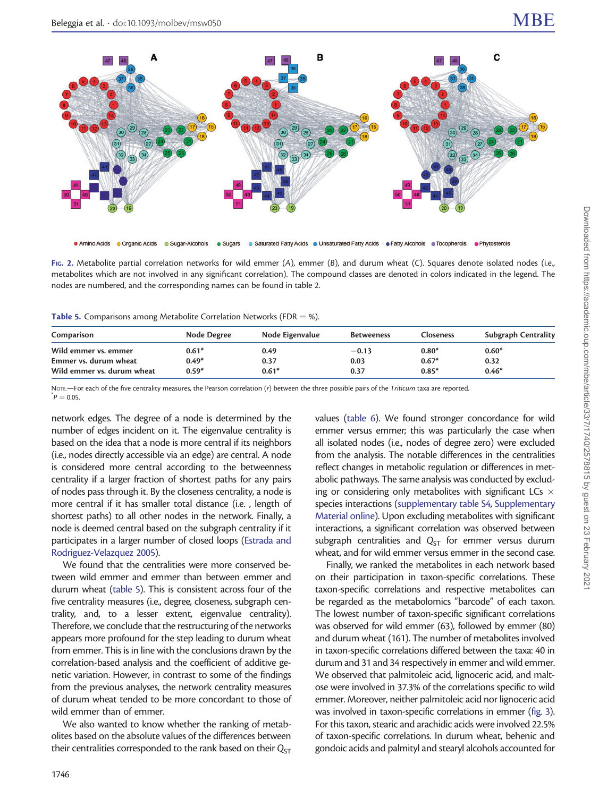<span id="page-6-0"></span>

FIG. 2. Metabolite partial correlation networks for wild emmer (A), emmer (B), and durum wheat (C). Squares denote isolated nodes (i.e., metabolites which are not involved in any significant correlation). The compound classes are denoted in colors indicated in the legend. The nodes are numbered, and the corresponding names can be found in table 2.

Table 5. Comparisons among Metabolite Correlation Networks (FDR  $=$  %).

| Comparison                 | Node Degree | Node Eigenvalue | <b>Betweeness</b> | <b>Closeness</b> | <b>Subgraph Centrality</b> |
|----------------------------|-------------|-----------------|-------------------|------------------|----------------------------|
| Wild emmer vs. emmer       | $0.61*$     | 0.49            | $-0.13$           | $0.80*$          | $0.60*$                    |
| Emmer vs. durum wheat      | $0.49*$     | 0.37            | 0.03              | $0.67*$          | 0.32                       |
| Wild emmer vs. durum wheat | $0.59*$     | $0.61*$         | 0.37              | $0.85*$          | $0.46*$                    |

NOTE.—For each of the five centrality measures, the Pearson correlation (r) between the three possible pairs of the Triticum taxa are reported.  $p = 0.05$ 

network edges. The degree of a node is determined by the number of edges incident on it. The eigenvalue centrality is based on the idea that a node is more central if its neighbors (i.e., nodes directly accessible via an edge) are central. A node is considered more central according to the betweenness centrality if a larger fraction of shortest paths for any pairs of nodes pass through it. By the closeness centrality, a node is more central if it has smaller total distance (i.e. , length of shortest paths) to all other nodes in the network. Finally, a node is deemed central based on the subgraph centrality if it participates in a larger number of closed loops [\(Estrada and](#page-12-0) [Rodriguez-Velazquez 2005](#page-12-0)).

We found that the centralities were more conserved between wild emmer and emmer than between emmer and durum wheat (table 5). This is consistent across four of the five centrality measures (i.e., degree, closeness, subgraph centrality, and, to a lesser extent, eigenvalue centrality). Therefore, we conclude that the restructuring of the networks appears more profound for the step leading to durum wheat from emmer. This is in line with the conclusions drawn by the correlation-based analysis and the coefficient of additive genetic variation. However, in contrast to some of the findings from the previous analyses, the network centrality measures of durum wheat tended to be more concordant to those of wild emmer than of emmer.

We also wanted to know whether the ranking of metabolites based on the absolute values of the differences between their centralities corresponded to the rank based on their  $Q_{ST}$ 

values [\(table 6](#page-7-0)). We found stronger concordance for wild emmer versus emmer; this was particularly the case when all isolated nodes (i.e., nodes of degree zero) were excluded from the analysis. The notable differences in the centralities reflect changes in metabolic regulation or differences in metabolic pathways. The same analysis was conducted by excluding or considering only metabolites with significant LCs  $\times$ species interactions [\(supplementary table S4](http://mbe.oxfordjournals.org/lookup/suppl/doi:10.1093/molbev/msw050/-/DC1), [Supplementary](http://mbe.oxfordjournals.org/lookup/suppl/doi:10.1093/molbev/msw050/-/DC1) [Material online\)](http://mbe.oxfordjournals.org/lookup/suppl/doi:10.1093/molbev/msw050/-/DC1). Upon excluding metabolites with significant interactions, a significant correlation was observed between subgraph centralities and  $Q_{ST}$  for emmer versus durum wheat, and for wild emmer versus emmer in the second case.

Finally, we ranked the metabolites in each network based on their participation in taxon-specific correlations. These taxon-specific correlations and respective metabolites can be regarded as the metabolomics "barcode" of each taxon. The lowest number of taxon-specific significant correlations was observed for wild emmer (63), followed by emmer (80) and durum wheat (161). The number of metabolites involved in taxon-specific correlations differed between the taxa: 40 in durum and 31 and 34 respectively in emmer and wild emmer. We observed that palmitoleic acid, lignoceric acid, and maltose were involved in 37.3% of the correlations specific to wild emmer. Moreover, neither palmitoleic acid nor lignoceric acid was involved in taxon-specific correlations in emmer [\(fig. 3\)](#page-8-0). For this taxon, stearic and arachidic acids were involved 22.5% of taxon-specific correlations. In durum wheat, behenic and gondoic acids and palmityl and stearyl alcohols accounted for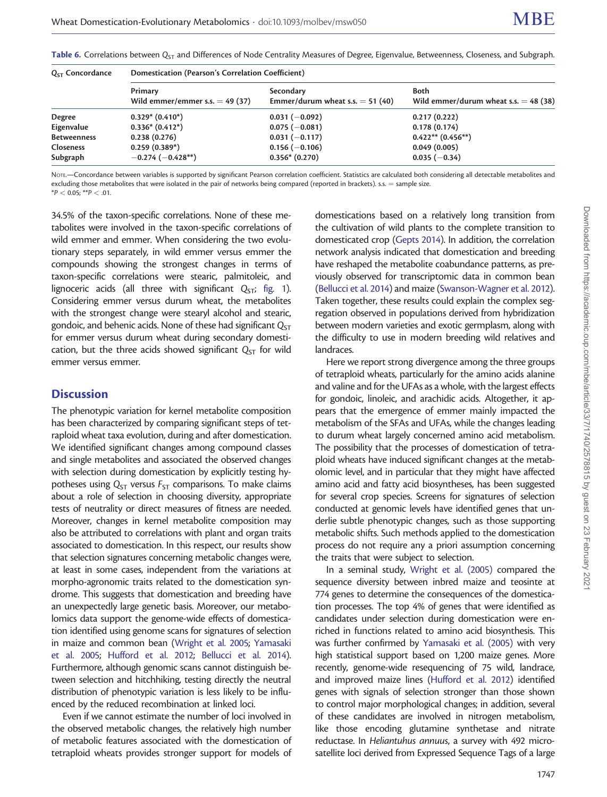| $Q_{ST}$ Concordance | Domestication (Pearson's Correlation Coefficient) |                                                 |                                                        |  |  |  |  |
|----------------------|---------------------------------------------------|-------------------------------------------------|--------------------------------------------------------|--|--|--|--|
|                      | Primary<br>Wild emmer/emmer s.s. $=$ 49 (37)      | Secondary<br>Emmer/durum wheat s.s. $=$ 51 (40) | <b>Both</b><br>Wild emmer/durum wheat s.s. $=$ 48 (38) |  |  |  |  |
| Degree               | $0.329* (0.410*)$                                 | $0.031(-0.092)$                                 | 0.217(0.222)                                           |  |  |  |  |
| Eigenvalue           | $0.336*(0.412*)$                                  | $0.075(-0.081)$                                 | 0.178(0.174)                                           |  |  |  |  |
| <b>Betweenness</b>   | 0.238(0.276)                                      | $0.031(-0.117)$                                 | $0.422**$ (0.456**)                                    |  |  |  |  |
| <b>Closeness</b>     | $0.259(0.389*)$                                   | $0.156(-0.106)$                                 | 0.049(0.005)                                           |  |  |  |  |
| Subgraph             | $-0.274(-0.428**)$                                | $0.356*(0.270)$                                 | $0.035(-0.34)$                                         |  |  |  |  |

<span id="page-7-0"></span>Table 6. Correlations between  $Q_{ST}$  and Differences of Node Centrality Measures of Degree, Eigenvalue, Betweenness, Closeness, and Subgraph.

NOTE.—Concordance between variables is supported by significant Pearson correlation coefficient. Statistics are calculated both considering all detectable metabolites and excluding those metabolites that were isolated in the pair of networks being compared (reported in brackets). s.s. = sample size.  $*P < 0.05$ ;  $*P < .01$ .

34.5% of the taxon-specific correlations. None of these metabolites were involved in the taxon-specific correlations of wild emmer and emmer. When considering the two evolutionary steps separately, in wild emmer versus emmer the compounds showing the strongest changes in terms of taxon-specific correlations were stearic, palmitoleic, and lignoceric acids (all three with significant  $Q_{ST}$ ; [fig. 1\)](#page-3-0). Considering emmer versus durum wheat, the metabolites with the strongest change were stearyl alcohol and stearic, gondoic, and behenic acids. None of these had significant  $Q_{ST}$ for emmer versus durum wheat during secondary domestication, but the three acids showed significant  $Q_{ST}$  for wild emmer versus emmer.

## **Discussion**

The phenotypic variation for kernel metabolite composition has been characterized by comparing significant steps of tetraploid wheat taxa evolution, during and after domestication. We identified significant changes among compound classes and single metabolites and associated the observed changes with selection during domestication by explicitly testing hypotheses using  $Q_{ST}$  versus  $F_{ST}$  comparisons. To make claims about a role of selection in choosing diversity, appropriate tests of neutrality or direct measures of fitness are needed. Moreover, changes in kernel metabolite composition may also be attributed to correlations with plant and organ traits associated to domestication. In this respect, our results show that selection signatures concerning metabolic changes were, at least in some cases, independent from the variations at morpho-agronomic traits related to the domestication syndrome. This suggests that domestication and breeding have an unexpectedly large genetic basis. Moreover, our metabolomics data support the genome-wide effects of domestication identified using genome scans for signatures of selection in maize and common bean [\(Wright et al. 2005;](#page-13-0) [Yamasaki](#page-13-0) [et al. 2005;](#page-13-0) [Hufford et al. 2012;](#page-13-0) [Bellucci et al. 2014\)](#page-12-0). Furthermore, although genomic scans cannot distinguish between selection and hitchhiking, testing directly the neutral distribution of phenotypic variation is less likely to be influenced by the reduced recombination at linked loci.

Even if we cannot estimate the number of loci involved in the observed metabolic changes, the relatively high number of metabolic features associated with the domestication of tetraploid wheats provides stronger support for models of domestications based on a relatively long transition from the cultivation of wild plants to the complete transition to domesticated crop [\(Gepts 2014](#page-13-0)). In addition, the correlation network analysis indicated that domestication and breeding have reshaped the metabolite coabundance patterns, as previously observed for transcriptomic data in common bean [\(Bellucci et al. 2014\)](#page-12-0) and maize ([Swanson-Wagner et al. 2012\)](#page-13-0). Taken together, these results could explain the complex segregation observed in populations derived from hybridization between modern varieties and exotic germplasm, along with the difficulty to use in modern breeding wild relatives and landraces.

Here we report strong divergence among the three groups of tetraploid wheats, particularly for the amino acids alanine and valine and for the UFAs as a whole, with the largest effects for gondoic, linoleic, and arachidic acids. Altogether, it appears that the emergence of emmer mainly impacted the metabolism of the SFAs and UFAs, while the changes leading to durum wheat largely concerned amino acid metabolism. The possibility that the processes of domestication of tetraploid wheats have induced significant changes at the metabolomic level, and in particular that they might have affected amino acid and fatty acid biosyntheses, has been suggested for several crop species. Screens for signatures of selection conducted at genomic levels have identified genes that underlie subtle phenotypic changes, such as those supporting metabolic shifts. Such methods applied to the domestication process do not require any a priori assumption concerning the traits that were subject to selection.

In a seminal study, [Wright et al. \(2005\)](#page-13-0) compared the sequence diversity between inbred maize and teosinte at 774 genes to determine the consequences of the domestication processes. The top 4% of genes that were identified as candidates under selection during domestication were enriched in functions related to amino acid biosynthesis. This was further confirmed by [Yamasaki et al. \(2005\)](#page-13-0) with very high statistical support based on 1,200 maize genes. More recently, genome-wide resequencing of 75 wild, landrace, and improved maize lines ([Hufford et al. 2012](#page-13-0)) identified genes with signals of selection stronger than those shown to control major morphological changes; in addition, several of these candidates are involved in nitrogen metabolism, like those encoding glutamine synthetase and nitrate reductase. In Heliantuhus annuus, a survey with 492 microsatellite loci derived from Expressed Sequence Tags of a large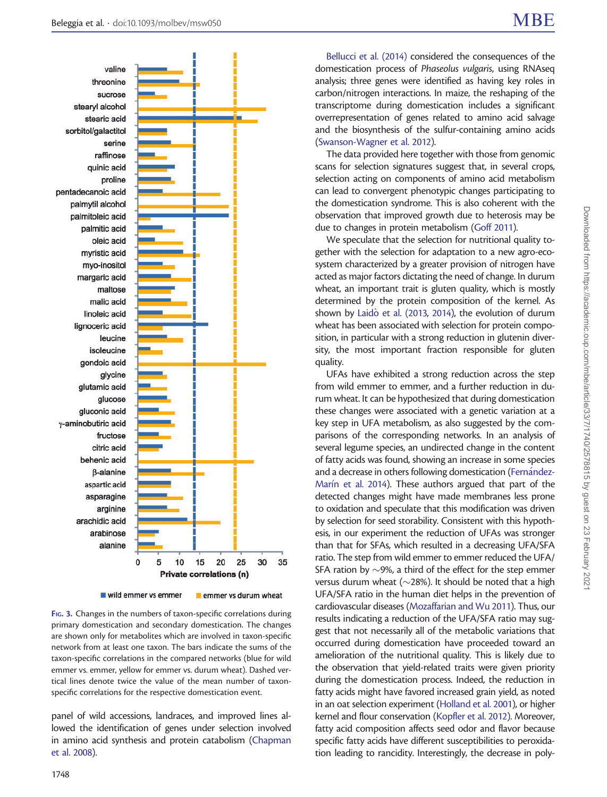<span id="page-8-0"></span>

wild emmer vs emmer emmer vs durum wheat

FIG. 3. Changes in the numbers of taxon-specific correlations during primary domestication and secondary domestication. The changes are shown only for metabolites which are involved in taxon-specific network from at least one taxon. The bars indicate the sums of the taxon-specific correlations in the compared networks (blue for wild emmer vs. emmer, yellow for emmer vs. durum wheat). Dashed vertical lines denote twice the value of the mean number of taxonspecific correlations for the respective domestication event.

panel of wild accessions, landraces, and improved lines allowed the identification of genes under selection involved in amino acid synthesis and protein catabolism [\(Chapman](#page-12-0) [et al. 2008](#page-12-0)).

[Bellucci et al. \(2014\)](#page-12-0) considered the consequences of the domestication process of Phaseolus vulgaris, using RNAseq analysis; three genes were identified as having key roles in carbon/nitrogen interactions. In maize, the reshaping of the transcriptome during domestication includes a significant overrepresentation of genes related to amino acid salvage and the biosynthesis of the sulfur-containing amino acids [\(Swanson-Wagner et al. 2012\)](#page-13-0).

The data provided here together with those from genomic scans for selection signatures suggest that, in several crops, selection acting on components of amino acid metabolism can lead to convergent phenotypic changes participating to the domestication syndrome. This is also coherent with the observation that improved growth due to heterosis may be due to changes in protein metabolism [\(Goff 2011](#page-13-0)).

We speculate that the selection for nutritional quality together with the selection for adaptation to a new agro-ecosystem characterized by a greater provision of nitrogen have acted as major factors dictating the need of change. In durum wheat, an important trait is gluten quality, which is mostly determined by the protein composition of the kernel. As shown by [Laid](#page-13-0)ò [et al. \(2013](#page-13-0), [2014](#page-13-0)), the evolution of durum wheat has been associated with selection for protein composition, in particular with a strong reduction in glutenin diversity, the most important fraction responsible for gluten quality.

UFAs have exhibited a strong reduction across the step from wild emmer to emmer, and a further reduction in durum wheat. It can be hypothesized that during domestication these changes were associated with a genetic variation at a key step in UFA metabolism, as also suggested by the comparisons of the corresponding networks. In an analysis of several legume species, an undirected change in the content of fatty acids was found, showing an increase in some species and a decrease in others following domestication [\(Fern](#page-13-0)á[ndez-](#page-13-0)[Mar](#page-13-0)í[n et al. 2014](#page-13-0)). These authors argued that part of the detected changes might have made membranes less prone to oxidation and speculate that this modification was driven by selection for seed storability. Consistent with this hypothesis, in our experiment the reduction of UFAs was stronger than that for SFAs, which resulted in a decreasing UFA/SFA ratio. The step from wild emmer to emmer reduced the UFA/ SFA ration by  $\sim$ 9%, a third of the effect for the step emmer versus durum wheat ( $\sim$ 28%). It should be noted that a high UFA/SFA ratio in the human diet helps in the prevention of cardiovascular diseases ([Mozaffarian and Wu 2011](#page-13-0)). Thus, our results indicating a reduction of the UFA/SFA ratio may suggest that not necessarily all of the metabolic variations that occurred during domestication have proceeded toward an amelioration of the nutritional quality. This is likely due to the observation that yield-related traits were given priority during the domestication process. Indeed, the reduction in fatty acids might have favored increased grain yield, as noted in an oat selection experiment [\(Holland et al. 2001\)](#page-13-0), or higher kernel and flour conservation [\(Kopfler et al. 2012\)](#page-13-0). Moreover, fatty acid composition affects seed odor and flavor because specific fatty acids have different susceptibilities to peroxidation leading to rancidity. Interestingly, the decrease in poly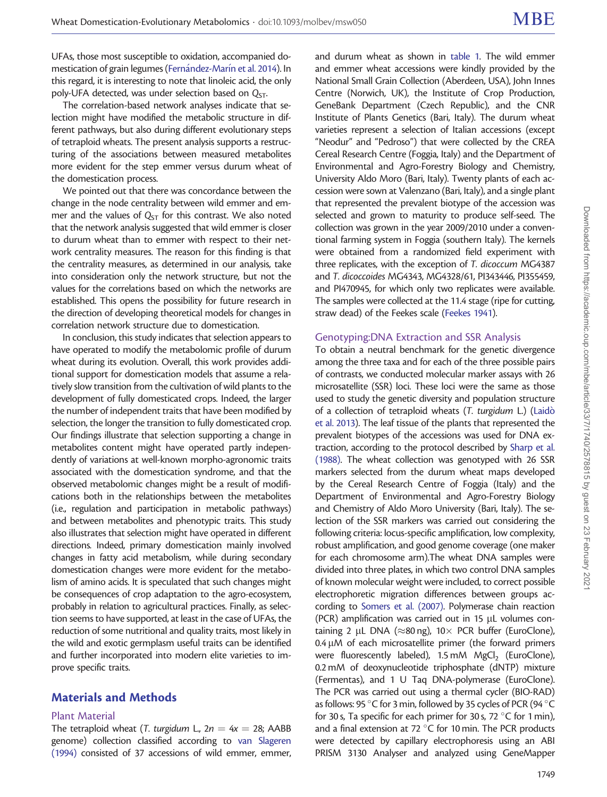UFAs, those most susceptible to oxidation, accompanied do-mestication of grain legumes [\(Fern](#page-13-0)á[ndez-Mar](#page-13-0)ín et al. 2014). In this regard, it is interesting to note that linoleic acid, the only poly-UFA detected, was under selection based on  $Q_{ST}$ .

The correlation-based network analyses indicate that selection might have modified the metabolic structure in different pathways, but also during different evolutionary steps of tetraploid wheats. The present analysis supports a restructuring of the associations between measured metabolites more evident for the step emmer versus durum wheat of the domestication process.

We pointed out that there was concordance between the change in the node centrality between wild emmer and emmer and the values of  $Q_{ST}$  for this contrast. We also noted that the network analysis suggested that wild emmer is closer to durum wheat than to emmer with respect to their network centrality measures. The reason for this finding is that the centrality measures, as determined in our analysis, take into consideration only the network structure, but not the values for the correlations based on which the networks are established. This opens the possibility for future research in the direction of developing theoretical models for changes in correlation network structure due to domestication.

In conclusion, this study indicates that selection appears to have operated to modify the metabolomic profile of durum wheat during its evolution. Overall, this work provides additional support for domestication models that assume a relatively slow transition from the cultivation of wild plants to the development of fully domesticated crops. Indeed, the larger the number of independent traits that have been modified by selection, the longer the transition to fully domesticated crop. Our findings illustrate that selection supporting a change in metabolites content might have operated partly independently of variations at well-known morpho-agronomic traits associated with the domestication syndrome, and that the observed metabolomic changes might be a result of modifications both in the relationships between the metabolites (i.e., regulation and participation in metabolic pathways) and between metabolites and phenotypic traits. This study also illustrates that selection might have operated in different directions. Indeed, primary domestication mainly involved changes in fatty acid metabolism, while during secondary domestication changes were more evident for the metabolism of amino acids. It is speculated that such changes might be consequences of crop adaptation to the agro-ecosystem, probably in relation to agricultural practices. Finally, as selection seems to have supported, at least in the case of UFAs, the reduction of some nutritional and quality traits, most likely in the wild and exotic germplasm useful traits can be identified and further incorporated into modern elite varieties to improve specific traits.

## Materials and Methods

#### Plant Material

The tetraploid wheat (T. turgidum L.,  $2n = 4x = 28$ ; AABB genome) collection classified according to [van Slageren](#page-13-0) [\(1994\)](#page-13-0) consisted of 37 accessions of wild emmer, emmer,

and durum wheat as shown in [table 1](#page-1-0). The wild emmer and emmer wheat accessions were kindly provided by the National Small Grain Collection (Aberdeen, USA), John Innes Centre (Norwich, UK), the Institute of Crop Production, GeneBank Department (Czech Republic), and the CNR Institute of Plants Genetics (Bari, Italy). The durum wheat varieties represent a selection of Italian accessions (except "Neodur" and "Pedroso") that were collected by the CREA Cereal Research Centre (Foggia, Italy) and the Department of Environmental and Agro-Forestry Biology and Chemistry, University Aldo Moro (Bari, Italy). Twenty plants of each accession were sown at Valenzano (Bari, Italy), and a single plant that represented the prevalent biotype of the accession was selected and grown to maturity to produce self-seed. The collection was grown in the year 2009/2010 under a conventional farming system in Foggia (southern Italy). The kernels were obtained from a randomized field experiment with three replicates, with the exception of T. dicoccum MG4387 and T. dicoccoides MG4343, MG4328/61, PI343446, PI355459, and PI470945, for which only two replicates were available. The samples were collected at the 11.4 stage (ripe for cutting, straw dead) of the Feekes scale ([Feekes 1941](#page-12-0)).

#### Genotyping:DNA Extraction and SSR Analysis

To obtain a neutral benchmark for the genetic divergence among the three taxa and for each of the three possible pairs of contrasts, we conducted molecular marker assays with 26 microsatellite (SSR) loci. These loci were the same as those used to study the genetic diversity and population structure of a collection of tetraploid wheats (T. turgidum L.) ([Laid](#page-13-0)ò [et al. 2013](#page-13-0)). The leaf tissue of the plants that represented the prevalent biotypes of the accessions was used for DNA extraction, according to the protocol described by [Sharp et al.](#page-13-0) [\(1988\).](#page-13-0) The wheat collection was genotyped with 26 SSR markers selected from the durum wheat maps developed by the Cereal Research Centre of Foggia (Italy) and the Department of Environmental and Agro-Forestry Biology and Chemistry of Aldo Moro University (Bari, Italy). The selection of the SSR markers was carried out considering the following criteria: locus-specific amplification, low complexity, robust amplification, and good genome coverage (one maker for each chromosome arm).The wheat DNA samples were divided into three plates, in which two control DNA samples of known molecular weight were included, to correct possible electrophoretic migration differences between groups according to [Somers et al. \(2007\).](#page-13-0) Polymerase chain reaction (PCR) amplification was carried out in 15  $\mu$ L volumes containing 2 µL DNA ( $\approx$ 80 ng), 10  $\times$  PCR buffer (EuroClone),  $0.4 \mu$ M of each microsatellite primer (the forward primers were fluorescently labeled),  $1.5 \text{ mM}$  MgCl<sub>2</sub> (EuroClone), 0.2 mM of deoxynucleotide triphosphate (dNTP) mixture (Fermentas), and 1 U Taq DNA-polymerase (EuroClone). The PCR was carried out using a thermal cycler (BIO-RAD) as follows: 95  $\degree$ C for 3 min, followed by 35 cycles of PCR (94  $\degree$ C for 30 s, Ta specific for each primer for 30 s,  $72^{\circ}$ C for 1 min), and a final extension at 72  $\degree$ C for 10 min. The PCR products were detected by capillary electrophoresis using an ABI PRISM 3130 Analyser and analyzed using GeneMapper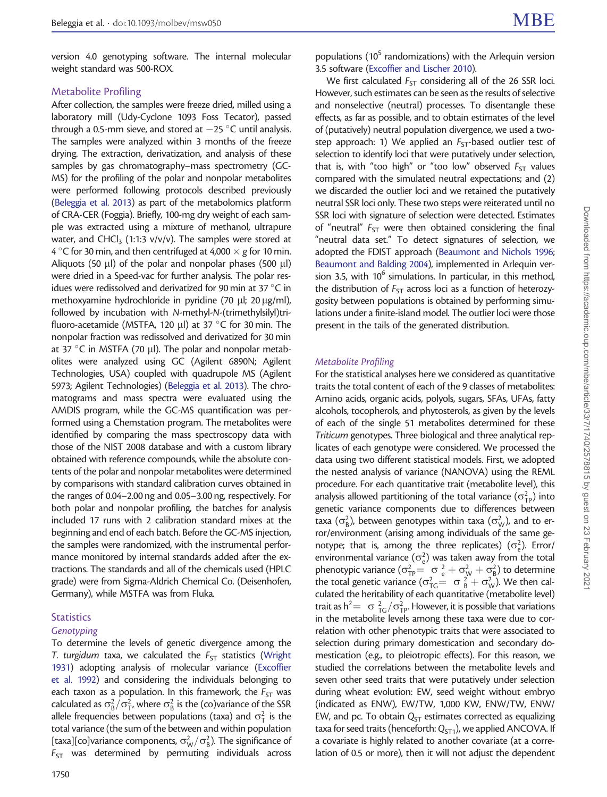version 4.0 genotyping software. The internal molecular weight standard was 500-ROX.

#### Metabolite Profiling

After collection, the samples were freeze dried, milled using a laboratory mill (Udy-Cyclone 1093 Foss Tecator), passed through a 0.5-mm sieve, and stored at  $-$  25  $^{\circ}$ C until analysis. The samples were analyzed within 3 months of the freeze drying. The extraction, derivatization, and analysis of these samples by gas chromatography–mass spectrometry (GC-MS) for the profiling of the polar and nonpolar metabolites were performed following protocols described previously ([Beleggia et al. 2013\)](#page-12-0) as part of the metabolomics platform of CRA-CER (Foggia). Briefly, 100-mg dry weight of each sample was extracted using a mixture of methanol, ultrapure water, and CHCl<sub>3</sub> (1:1:3  $v/v/v$ ). The samples were stored at 4 °C for 30 min, and then centrifuged at 4,000  $\times$  g for 10 min. Aliquots (50  $\mu$ l) of the polar and nonpolar phases (500  $\mu$ l) were dried in a Speed-vac for further analysis. The polar residues were redissolved and derivatized for 90 min at 37 $\degree$ C in methoxyamine hydrochloride in pyridine (70 µl; 20 µg/ml), followed by incubation with N-methyl-N-(trimethylsilyl)trifluoro-acetamide (MSTFA, 120  $\mu$ l) at 37 °C for 30 min. The nonpolar fraction was redissolved and derivatized for 30 min at 37 °C in MSTFA (70  $\mu$ l). The polar and nonpolar metabolites were analyzed using GC (Agilent 6890N; Agilent Technologies, USA) coupled with quadrupole MS (Agilent 5973; Agilent Technologies) ([Beleggia et al. 2013](#page-12-0)). The chromatograms and mass spectra were evaluated using the AMDIS program, while the GC-MS quantification was performed using a Chemstation program. The metabolites were identified by comparing the mass spectroscopy data with those of the NIST 2008 database and with a custom library obtained with reference compounds, while the absolute contents of the polar and nonpolar metabolites were determined by comparisons with standard calibration curves obtained in the ranges of 0.04–2.00 ng and 0.05–3.00 ng, respectively. For both polar and nonpolar profiling, the batches for analysis included 17 runs with 2 calibration standard mixes at the beginning and end of each batch. Before the GC-MS injection, the samples were randomized, with the instrumental performance monitored by internal standards added after the extractions. The standards and all of the chemicals used (HPLC grade) were from Sigma-Aldrich Chemical Co. (Deisenhofen, Germany), while MSTFA was from Fluka.

#### **Statistics**

#### Genotyping

To determine the levels of genetic divergence among the T. turgidum taxa, we calculated the  $F_{ST}$  statistics [\(Wright](#page-13-0) [1931\)](#page-13-0) adopting analysis of molecular variance [\(Excoffier](#page-12-0) [et al. 1992](#page-12-0)) and considering the individuals belonging to each taxon as a population. In this framework, the  $F_{ST}$  was calculated as  $\sigma_{\rm B}^2/\sigma_{\rm T}^2$ , where  $\sigma_{\rm B}^2$  is the (co)variance of the SSR allele frequencies between populations (taxa) and  $\sigma_{\textsf{T}}^2$  is the total variance (the sum of the between and within population [taxa][co]variance components,  $\sigma_W^2/\sigma_B^2$ ). The significance of  $F_{ST}$  was determined by permuting individuals across

populations ( $10^5$  randomizations) with the Arlequin version 3.5 software [\(Excoffier and Lischer 2010\)](#page-12-0).

We first calculated  $F_{ST}$  considering all of the 26 SSR loci. However, such estimates can be seen as the results of selective and nonselective (neutral) processes. To disentangle these effects, as far as possible, and to obtain estimates of the level of (putatively) neutral population divergence, we used a twostep approach: 1) We applied an  $F_{ST}$ -based outlier test of selection to identify loci that were putatively under selection, that is, with "too high" or "too low" observed  $F_{ST}$  values compared with the simulated neutral expectations; and (2) we discarded the outlier loci and we retained the putatively neutral SSR loci only. These two steps were reiterated until no SSR loci with signature of selection were detected. Estimates of "neutral"  $F_{ST}$  were then obtained considering the final "neutral data set." To detect signatures of selection, we adopted the FDIST approach [\(Beaumont and Nichols 1996;](#page-12-0) [Beaumont and Balding 2004](#page-12-0)), implemented in Arlequin version 3.5, with 10 $^6$  simulations. In particular, in this method, the distribution of  $F_{ST}$  across loci as a function of heterozygosity between populations is obtained by performing simulations under a finite-island model. The outlier loci were those present in the tails of the generated distribution.

#### Metabolite Profiling

For the statistical analyses here we considered as quantitative traits the total content of each of the 9 classes of metabolites: Amino acids, organic acids, polyols, sugars, SFAs, UFAs, fatty alcohols, tocopherols, and phytosterols, as given by the levels of each of the single 51 metabolites determined for these Triticum genotypes. Three biological and three analytical replicates of each genotype were considered. We processed the data using two different statistical models. First, we adopted the nested analysis of variance (NANOVA) using the REML procedure. For each quantitative trait (metabolite level), this analysis allowed partitioning of the total variance  $(\sigma_{\text{TP}}^2)$  into genetic variance components due to differences between taxa ( $\sigma_{\rm B}^2$ ), between genotypes within taxa ( $\sigma_{\rm W}^2$ ), and to error/environment (arising among individuals of the same genotype; that is, among the three replicates) ( $\sigma_e^2$ ). Error/ environmental variance  $(\sigma_e^2)$  was taken away from the total phenotypic variance  $(\sigma_{TP}^2 = \sigma_e^2 + \sigma_w^2 + \sigma_B^2)$  to determine the total genetic variance ( $\sigma_{TG}^2 = \sigma_{B}^2 + \sigma_{W}^2$ ). We then calculated the heritability of each quantitative (metabolite level) trait as  $h^2 = \sigma \frac{2}{T} \sigma_{\text{TP}}^2$ . However, it is possible that variations in the metabolite levels among these taxa were due to correlation with other phenotypic traits that were associated to selection during primary domestication and secondary domestication (e.g., to pleiotropic effects). For this reason, we studied the correlations between the metabolite levels and seven other seed traits that were putatively under selection during wheat evolution: EW, seed weight without embryo (indicated as ENW), EW/TW, 1,000 KW, ENW/TW, ENW/ EW, and pc. To obtain  $Q_{ST}$  estimates corrected as equalizing taxa for seed traits (henceforth:  $Q<sub>ST1</sub>$ ), we applied ANCOVA. If a covariate is highly related to another covariate (at a correlation of 0.5 or more), then it will not adjust the dependent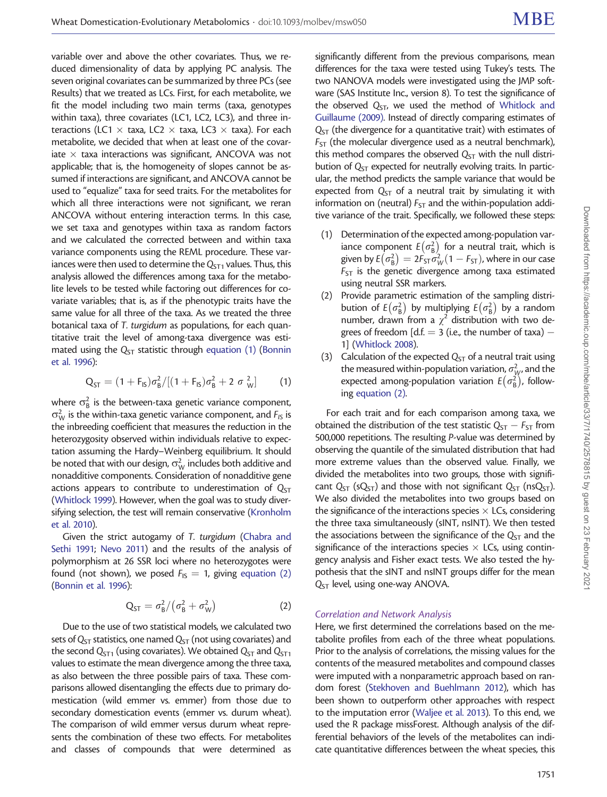variable over and above the other covariates. Thus, we reduced dimensionality of data by applying PC analysis. The seven original covariates can be summarized by three PCs (see Results) that we treated as LCs. First, for each metabolite, we fit the model including two main terms (taxa, genotypes within taxa), three covariates (LC1, LC2, LC3), and three interactions (LC1  $\times$  taxa, LC2  $\times$  taxa, LC3  $\times$  taxa). For each metabolite, we decided that when at least one of the covariate  $\times$  taxa interactions was significant, ANCOVA was not applicable; that is, the homogeneity of slopes cannot be assumed if interactions are significant, and ANCOVA cannot be used to "equalize" taxa for seed traits. For the metabolites for which all three interactions were not significant, we reran ANCOVA without entering interaction terms. In this case, we set taxa and genotypes within taxa as random factors and we calculated the corrected between and within taxa variance components using the REML procedure. These variances were then used to determine the  $Q<sub>ST1</sub>$  values. Thus, this analysis allowed the differences among taxa for the metabolite levels to be tested while factoring out differences for covariate variables; that is, as if the phenotypic traits have the same value for all three of the taxa. As we treated the three botanical taxa of T. turgidum as populations, for each quantitative trait the level of among-taxa divergence was estimated using the  $Q_{ST}$  statistic through equation (1) ([Bonnin](#page-12-0) [et al. 1996](#page-12-0)):

$$
Q_{ST} = (1 + F_{IS})\sigma_B^2/[(1 + F_{IS})\sigma_B^2 + 2 \sigma_W^2]
$$
 (1)

where  $\sigma_{\text{B}}^2$  is the between-taxa genetic variance component,  $\sigma_W^2$  is the within-taxa genetic variance component, and  $F_{15}$  is the inbreeding coefficient that measures the reduction in the heterozygosity observed within individuals relative to expectation assuming the Hardy–Weinberg equilibrium. It should be noted that with our design,  $\sigma^2_{\mathrm{W}}$  includes both additive and nonadditive components. Consideration of nonadditive gene actions appears to contribute to underestimation of  $Q_{ST}$ ([Whitlock 1999\)](#page-13-0). However, when the goal was to study diversifying selection, the test will remain conservative [\(Kronholm](#page-13-0) [et al. 2010](#page-13-0)).

Given the strict autogamy of T. turgidum ([Chabra and](#page-12-0) [Sethi 1991](#page-12-0); [Nevo 2011\)](#page-13-0) and the results of the analysis of polymorphism at 26 SSR loci where no heterozygotes were found (not shown), we posed  $F_{1S} = 1$ , giving equation (2) ([Bonnin et al. 1996](#page-12-0)):

$$
Q_{ST} = \sigma_B^2 / (\sigma_B^2 + \sigma_W^2)
$$
 (2)

Due to the use of two statistical models, we calculated two sets of  $Q_{ST}$  statistics, one named  $Q_{ST}$  (not using covariates) and the second  $Q<sub>ST1</sub>$  (using covariates). We obtained  $Q<sub>ST</sub>$  and  $Q<sub>ST1</sub>$ values to estimate the mean divergence among the three taxa, as also between the three possible pairs of taxa. These comparisons allowed disentangling the effects due to primary domestication (wild emmer vs. emmer) from those due to secondary domestication events (emmer vs. durum wheat). The comparison of wild emmer versus durum wheat represents the combination of these two effects. For metabolites and classes of compounds that were determined as

significantly different from the previous comparisons, mean differences for the taxa were tested using Tukey's tests. The two NANOVA models were investigated using the JMP software (SAS Institute Inc., version 8). To test the significance of the observed  $Q_{ST}$ , we used the method of [Whitlock and](#page-13-0) [Guillaume \(2009\)](#page-13-0). Instead of directly comparing estimates of  $Q_{ST}$  (the divergence for a quantitative trait) with estimates of  $F<sub>ST</sub>$  (the molecular divergence used as a neutral benchmark), this method compares the observed  $Q_{ST}$  with the null distribution of  $Q_{ST}$  expected for neutrally evolving traits. In particular, the method predicts the sample variance that would be expected from  $Q_{ST}$  of a neutral trait by simulating it with information on (neutral)  $F_{ST}$  and the within-population additive variance of the trait. Specifically, we followed these steps:

- (1) Determination of the expected among-population variance component  $E(\sigma_{\text{B}}^2)$  $\sigma(\sigma_{\rm B}^2)$  for a neutral trait, which is given by  $E\left(\sigma^2_{\rm B}\right)$ ponent  $E(\sigma_{\rm B}^2)$  for a neutral trait, where is<br>  $\sigma_{\rm B}^2 = 2F_{\rm ST}\sigma_W^2(1 - F_{\rm ST})$ , where in our case  $F_{ST}$  is the genetic divergence among taxa estimated using neutral SSR markers.
- (2) Provide parametric estimation of the sampling distribution of  $E(\sigma_{\rm B}^2)$  $(\sigma_{\rm B}^2)$  by multiplying  $E(\sigma_{\rm B}^2)$  $\bar{e}$  $\left(\sigma_{\rm B}^2\right)$  by a random number, drawn from a  $\chi^2$  distribution with two degrees of freedom [d.f.  $=$  3 (i.e., the number of taxa)  $-$ 1] ([Whitlock 2008](#page-13-0)).
- (3) Calculation of the expected  $Q_{ST}$  of a neutral trait using the measured within-population variation,  $\sigma_{\mathcal{W}}^2$ , and the expected among-population variation  $E\left(\sigma_{\text{B}}^2\right)$  $\epsilon$  ( $\sigma_{\rm B}^2$ ), following equation (2).

For each trait and for each comparison among taxa, we obtained the distribution of the test statistic  $Q_{ST} - F_{ST}$  from 500,000 repetitions. The resulting P-value was determined by observing the quantile of the simulated distribution that had more extreme values than the observed value. Finally, we divided the metabolites into two groups, those with significant  $Q_{ST}$  (s $Q_{ST}$ ) and those with not significant  $Q_{ST}$  (ns $Q_{ST}$ ). We also divided the metabolites into two groups based on the significance of the interactions species  $\times$  LCs, considering the three taxa simultaneously (sINT, nsINT). We then tested the associations between the significance of the  $Q_{ST}$  and the significance of the interactions species  $\times$  LCs, using contingency analysis and Fisher exact tests. We also tested the hypothesis that the sINT and nsINT groups differ for the mean  $Q<sub>ST</sub>$  level, using one-way ANOVA.

#### Correlation and Network Analysis

Here, we first determined the correlations based on the metabolite profiles from each of the three wheat populations. Prior to the analysis of correlations, the missing values for the contents of the measured metabolites and compound classes were imputed with a nonparametric approach based on random forest ([Stekhoven and Buehlmann 2012](#page-13-0)), which has been shown to outperform other approaches with respect to the imputation error ([Waljee et al. 2013](#page-13-0)). To this end, we used the R package missForest. Although analysis of the differential behaviors of the levels of the metabolites can indicate quantitative differences between the wheat species, this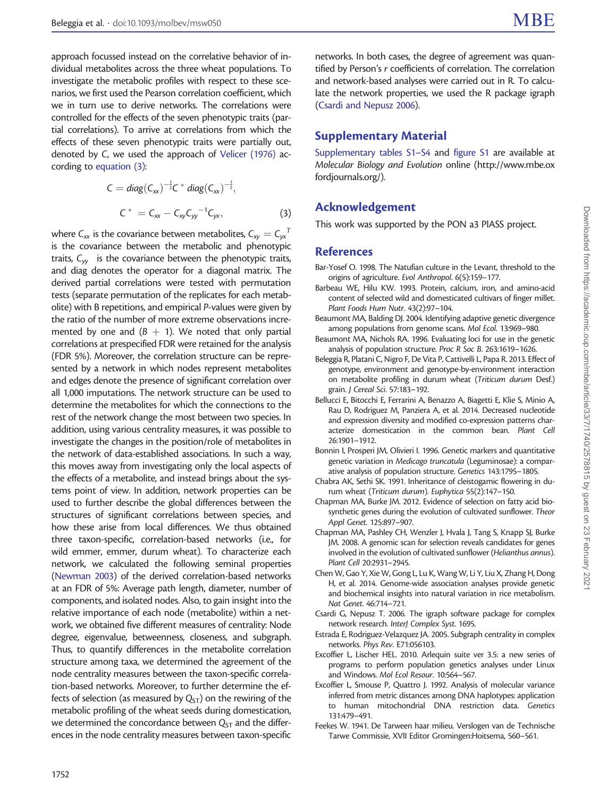<span id="page-12-0"></span>approach focussed instead on the correlative behavior of individual metabolites across the three wheat populations. To investigate the metabolic profiles with respect to these scenarios, we first used the Pearson correlation coefficient, which we in turn use to derive networks. The correlations were controlled for the effects of the seven phenotypic traits (partial correlations). To arrive at correlations from which the effects of these seven phenotypic traits were partially out, denoted by C, we used the approach of [Velicer \(1976\)](#page-13-0) according to equation (3):

$$
C = diag(C_{xx})^{-\frac{1}{2}}C * diag(C_{xx})^{-\frac{1}{2}},
$$
  
\n
$$
C^* = C_{xx} - C_{xy}C_{yy}^{-1}C_{yx},
$$
\n(3)

where  $C_{xx}$  is the covariance between metabolites,  $C_{xy} = C_{yx}^{\ \ T}$ is the covariance between the metabolic and phenotypic traits,  $C_{yy}$  is the covariance between the phenotypic traits, and diag denotes the operator for a diagonal matrix. The derived partial correlations were tested with permutation tests (separate permutation of the replicates for each metabolite) with B repetitions, and empirical P-values were given by the ratio of the number of more extreme observations incremented by one and  $(B + 1)$ . We noted that only partial correlations at prespecified FDR were retained for the analysis (FDR 5%). Moreover, the correlation structure can be represented by a network in which nodes represent metabolites and edges denote the presence of significant correlation over all 1,000 imputations. The network structure can be used to determine the metabolites for which the connections to the rest of the network change the most between two species. In addition, using various centrality measures, it was possible to investigate the changes in the position/role of metabolites in the network of data-established associations. In such a way, this moves away from investigating only the local aspects of the effects of a metabolite, and instead brings about the systems point of view. In addition, network properties can be used to further describe the global differences between the structures of significant correlations between species, and how these arise from local differences. We thus obtained three taxon-specific, correlation-based networks (i.e., for wild emmer, emmer, durum wheat). To characterize each network, we calculated the following seminal properties ([Newman 2003](#page-13-0)) of the derived correlation-based networks at an FDR of 5%: Average path length, diameter, number of components, and isolated nodes. Also, to gain insight into the relative importance of each node (metabolite) within a network, we obtained five different measures of centrality: Node degree, eigenvalue, betweenness, closeness, and subgraph. Thus, to quantify differences in the metabolite correlation structure among taxa, we determined the agreement of the node centrality measures between the taxon-specific correlation-based networks. Moreover, to further determine the effects of selection (as measured by  $Q_{ST}$ ) on the rewiring of the metabolic profiling of the wheat seeds during domestication, we determined the concordance between  $Q_{ST}$  and the differences in the node centrality measures between taxon-specific

networks. In both cases, the degree of agreement was quantified by Person's r coefficients of correlation. The correlation and network-based analyses were carried out in R. To calculate the network properties, we used the R package igraph (Csardi and Nepusz 2006).

# Supplementary Material

[Supplementary tables S1–S4](http://mbe.oxfordjournals.org/lookup/suppl/doi:10.1093/molbev/msw050/-/DC1) and [figure S1](http://mbe.oxfordjournals.org/lookup/suppl/doi:10.1093/molbev/msw050/-/DC1) are available at Molecular Biology and Evolution online [\(http://www.mbe.ox](http://www.mbe.oxfordjournals.org/) [fordjournals.org/](http://www.mbe.oxfordjournals.org/)).

# Acknowledgement

This work was supported by the PON a3 PlASS project.

# References

- Bar-Yosef O. 1998. The Natufian culture in the Levant, threshold to the origins of agriculture. Evol Anthropol. 6(5):159–177.
- Barbeau WE, Hilu KW. 1993. Protein, calcium, iron, and amino-acid content of selected wild and domesticated cultivars of finger millet. Plant Foods Hum Nutr. 43(2):97–104.
- Beaumont MA, Balding DJ. 2004. Identifying adaptive genetic divergence among populations from genome scans. Mol Ecol. 13:969–980.
- Beaumont MA, Nichols RA. 1996. Evaluating loci for use in the genetic analysis of population structure. Proc R Soc B. 263:1619–1626.
- Beleggia R, Platani C, Nigro F, De Vita P, Cattivelli L, Papa R. 2013. Effect of genotype, environment and genotype-by-environment interaction on metabolite profiling in durum wheat (Triticum durum Desf.) grain. J Cereal Sci. 57:183–192.
- Bellucci E, Bitocchi E, Ferrarini A, Benazzo A, Biagetti E, Klie S, Minio A, Rau D, Rodriguez M, Panziera A, et al. 2014. Decreased nucleotide and expression diversity and modified co-expression patterns characterize domestication in the common bean. Plant Cell 26:1901–1912.
- Bonnin I, Prosperi JM, Olivieri I. 1996. Genetic markers and quantitative genetic variation in Medicago truncatula (Leguminosae): a comparative analysis of population structure. Genetics 143:1795–1805.
- Chabra AK, Sethi SK. 1991. Inheritance of cleistogamic flowering in durum wheat (Triticum durum). Euphytica 55(2):147–150.
- Chapman MA, Burke JM. 2012. Evidence of selection on fatty acid biosynthetic genes during the evolution of cultivated sunflower. Theor Appl Genet. 125:897–907.
- Chapman MA, Pashley CH, Wenzler J, Hvala J, Tang S, Knapp SJ, Burke JM. 2008. A genomic scan for selection reveals candidates for genes involved in the evolution of cultivated sunflower (Helianthus annus). Plant Cell 20:2931–2945.
- Chen W, Gao Y, Xie W, Gong L, Lu K, Wang W, Li Y, Liu X, Zhang H, Dong H, et al. 2014. Genome-wide association analyses provide genetic and biochemical insights into natural variation in rice metabolism. Nat Genet. 46:714–721.
- Csardi G, Nepusz T. 2006. The igraph software package for complex network research. InterJ Complex Syst. 1695.
- Estrada E, Rodriguez-Velazquez JA. 2005. Subgraph centrality in complex networks. Phys Rev. E71:056103.
- Excoffier L, Lischer HEL. 2010. Arlequin suite ver 3.5: a new series of programs to perform population genetics analyses under Linux and Windows. Mol Ecol Resour. 10:564–567.
- Excoffier L, Smouse P, Quattro J. 1992. Analysis of molecular variance inferred from metric distances among DNA haplotypes: application to human mitochondrial DNA restriction data. Genetics 131:479–491.
- Feekes W. 1941. De Tarween haar milieu. Verslogen van de Technische Tarwe Commissie, XVII Editor Gromingen:Hoitsema, 560–561.